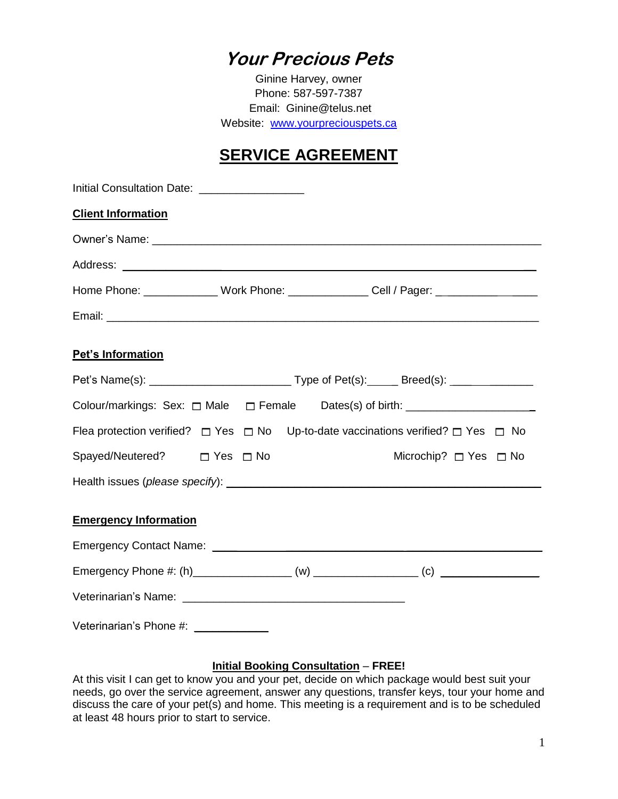## **Your Precious Pets**

Ginine Harvey, owner Phone: 587-597-7387 Email: Ginine@telus.net Website: [www.yourpreciouspets.ca](http://www.yourpreciouspets.ca/)

### **SERVICE AGREEMENT**

| Initial Consultation Date: ____________________                                                       |  |
|-------------------------------------------------------------------------------------------------------|--|
| <b>Client Information</b>                                                                             |  |
|                                                                                                       |  |
|                                                                                                       |  |
| Home Phone: _______________ Work Phone: ________________ Cell / Pager: _____________________________  |  |
|                                                                                                       |  |
| Pet's Information                                                                                     |  |
|                                                                                                       |  |
| Colour/markings: Sex: $\Box$ Male $\Box$ Female Dates(s) of birth: _________________________          |  |
| Flea protection verified? $\Box$ Yes $\Box$ No Up-to-date vaccinations verified? $\Box$ Yes $\Box$ No |  |
| Spayed/Neutered? □ Yes □ No<br>Microchip? $\Box$ Yes $\Box$ No                                        |  |
|                                                                                                       |  |
| <b>Emergency Information</b>                                                                          |  |
|                                                                                                       |  |
|                                                                                                       |  |
|                                                                                                       |  |
| Veterinarian's Phone #: ____________                                                                  |  |

#### **Initial Booking Consultation** – **FREE!**

At this visit I can get to know you and your pet, decide on which package would best suit your needs, go over the service agreement, answer any questions, transfer keys, tour your home and discuss the care of your pet(s) and home. This meeting is a requirement and is to be scheduled at least 48 hours prior to start to service.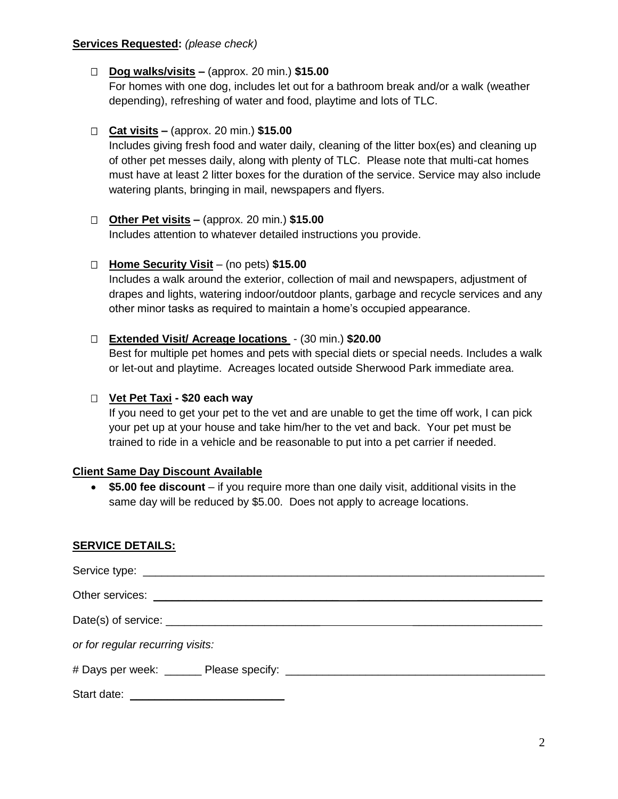#### **Services Requested:** *(please check)*

#### **Dog walks/visits –** (approx. 20 min.) **\$15.00**

For homes with one dog, includes let out for a bathroom break and/or a walk (weather depending), refreshing of water and food, playtime and lots of TLC.

#### **Cat visits –** (approx. 20 min.) **\$15.00**

Includes giving fresh food and water daily, cleaning of the litter box(es) and cleaning up of other pet messes daily, along with plenty of TLC. Please note that multi-cat homes must have at least 2 litter boxes for the duration of the service. Service may also include watering plants, bringing in mail, newspapers and flyers.

#### **Other Pet visits –** (approx. 20 min.) **\$15.00**

Includes attention to whatever detailed instructions you provide.

#### **Home Security Visit** – (no pets) **\$15.00**

Includes a walk around the exterior, collection of mail and newspapers, adjustment of drapes and lights, watering indoor/outdoor plants, garbage and recycle services and any other minor tasks as required to maintain a home's occupied appearance.

#### **Extended Visit/ Acreage locations** - (30 min.) **\$20.00**

Best for multiple pet homes and pets with special diets or special needs. Includes a walk or let-out and playtime. Acreages located outside Sherwood Park immediate area.

#### **Vet Pet Taxi - \$20 each way**

If you need to get your pet to the vet and are unable to get the time off work, I can pick your pet up at your house and take him/her to the vet and back. Your pet must be trained to ride in a vehicle and be reasonable to put into a pet carrier if needed.

#### **Client Same Day Discount Available**

 **\$5.00 fee discount** – if you require more than one daily visit, additional visits in the same day will be reduced by \$5.00. Does not apply to acreage locations.

#### **SERVICE DETAILS:**

| or for regular recurring visits: |
|----------------------------------|
|                                  |
|                                  |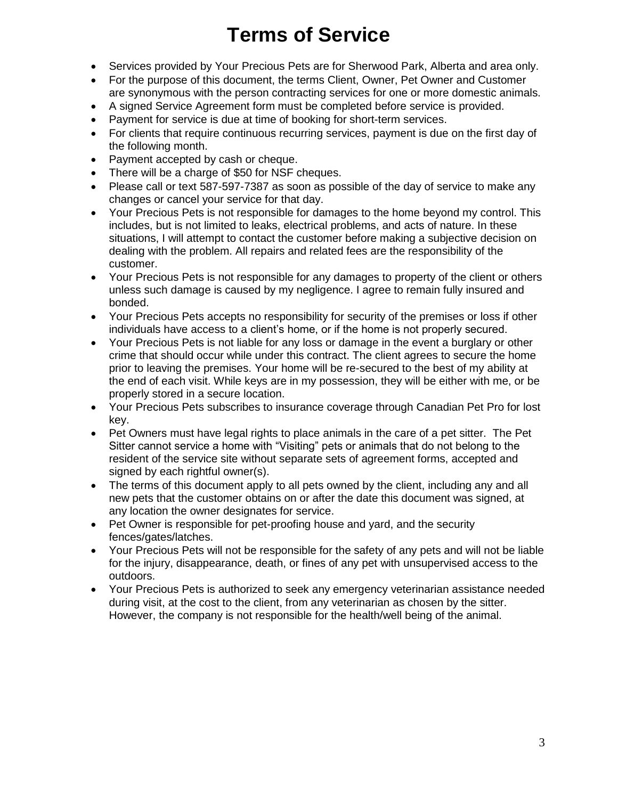# **Terms of Service**

- Services provided by Your Precious Pets are for Sherwood Park, Alberta and area only.
- For the purpose of this document, the terms Client, Owner, Pet Owner and Customer are synonymous with the person contracting services for one or more domestic animals.
- A signed Service Agreement form must be completed before service is provided.
- Payment for service is due at time of booking for short-term services.
- For clients that require continuous recurring services, payment is due on the first day of the following month.
- Payment accepted by cash or cheque.
- There will be a charge of \$50 for NSF cheques.
- Please call or text 587-597-7387 as soon as possible of the day of service to make any changes or cancel your service for that day.
- Your Precious Pets is not responsible for damages to the home beyond my control. This includes, but is not limited to leaks, electrical problems, and acts of nature. In these situations, I will attempt to contact the customer before making a subjective decision on dealing with the problem. All repairs and related fees are the responsibility of the customer.
- Your Precious Pets is not responsible for any damages to property of the client or others unless such damage is caused by my negligence. I agree to remain fully insured and bonded.
- Your Precious Pets accepts no responsibility for security of the premises or loss if other individuals have access to a client's home, or if the home is not properly secured.
- Your Precious Pets is not liable for any loss or damage in the event a burglary or other crime that should occur while under this contract. The client agrees to secure the home prior to leaving the premises. Your home will be re-secured to the best of my ability at the end of each visit. While keys are in my possession, they will be either with me, or be properly stored in a secure location.
- Your Precious Pets subscribes to insurance coverage through Canadian Pet Pro for lost key.
- Pet Owners must have legal rights to place animals in the care of a pet sitter. The Pet Sitter cannot service a home with "Visiting" pets or animals that do not belong to the resident of the service site without separate sets of agreement forms, accepted and signed by each rightful owner(s).
- The terms of this document apply to all pets owned by the client, including any and all new pets that the customer obtains on or after the date this document was signed, at any location the owner designates for service.
- Pet Owner is responsible for pet-proofing house and yard, and the security fences/gates/latches.
- Your Precious Pets will not be responsible for the safety of any pets and will not be liable for the injury, disappearance, death, or fines of any pet with unsupervised access to the outdoors.
- Your Precious Pets is authorized to seek any emergency veterinarian assistance needed during visit, at the cost to the client, from any veterinarian as chosen by the sitter. However, the company is not responsible for the health/well being of the animal.